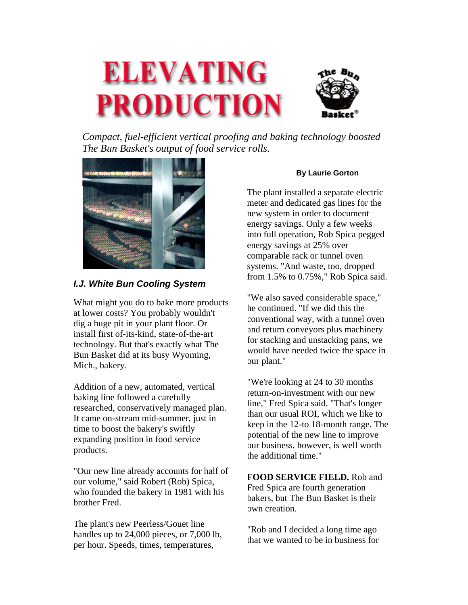

*Compact, fuel-efficient vertical proofing and baking technology boosted The Bun Basket's output of food service rolls.*



## *I.J. White Bun Cooling System*

What might you do to bake more products at lower costs? You probably wouldn't dig a huge pit in your plant floor. Or install first of-its-kind, state-of-the-art technology. But that's exactly what The Bun Basket did at its busy Wyoming, Mich., bakery.

Addition of a new, automated, vertical baking line followed a carefully researched, conservatively managed plan. It came on-stream mid-summer, just in time to boost the bakery's swiftly expanding position in food service products.

"Our new line already accounts for half of our volume," said Robert (Rob) Spica, who founded the bakery in 1981 with his brother Fred.

The plant's new Peerless/Gouet line handles up to 24,000 pieces, or 7,000 lb, per hour. Speeds, times, temperatures,

## **By Laurie Gorton**

The plant installed a separate electric meter and dedicated gas lines for the new system in order to document energy savings. Only a few weeks into full operation, Rob Spica pegged energy savings at 25% over comparable rack or tunnel oven systems. "And waste, too, dropped from 1.5% to 0.75%," Rob Spica said.

"We also saved considerable space," he continued. "If we did this the conventional way, with a tunnel oven and return conveyors plus machinery for stacking and unstacking pans, we would have needed twice the space in our plant."

"We're looking at 24 to 30 months return-on-investment with our new line," Fred Spica said. "That's longer than our usual ROI, which we like to keep in the 12-to 18-month range. The potential of the new line to improve our business, however, is well worth the additional time."

**FOOD SERVICE FIELD.** Rob and Fred Spica are fourth generation bakers, but The Bun Basket is their own creation.

"Rob and I decided a long time ago that we wanted to be in business for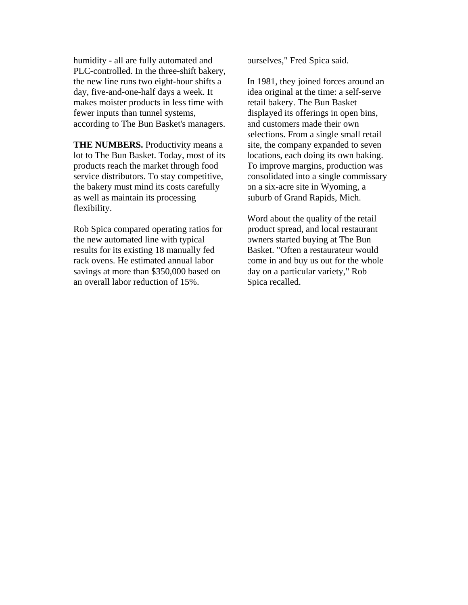humidity - all are fully automated and PLC-controlled. In the three-shift bakery, the new line runs two eight-hour shifts a day, five-and-one-half days a week. It makes moister products in less time with fewer inputs than tunnel systems, according to The Bun Basket's managers.

**THE NUMBERS.** Productivity means a lot to The Bun Basket. Today, most of its products reach the market through food service distributors. To stay competitive, the bakery must mind its costs carefully as well as maintain its processing flexibility.

Rob Spica compared operating ratios for the new automated line with typical results for its existing 18 manually fed rack ovens. He estimated annual labor savings at more than \$350,000 based on an overall labor reduction of 15%.

ourselves," Fred Spica said.

In 1981, they joined forces around an idea original at the time: a self-serve retail bakery. The Bun Basket displayed its offerings in open bins, and customers made their own selections. From a single small retail site, the company expanded to seven locations, each doing its own baking. To improve margins, production was consolidated into a single commissary on a six-acre site in Wyoming, a suburb of Grand Rapids, Mich.

Word about the quality of the retail product spread, and local restaurant owners started buying at The Bun Basket. "Often a restaurateur would come in and buy us out for the whole day on a particular variety," Rob Spica recalled.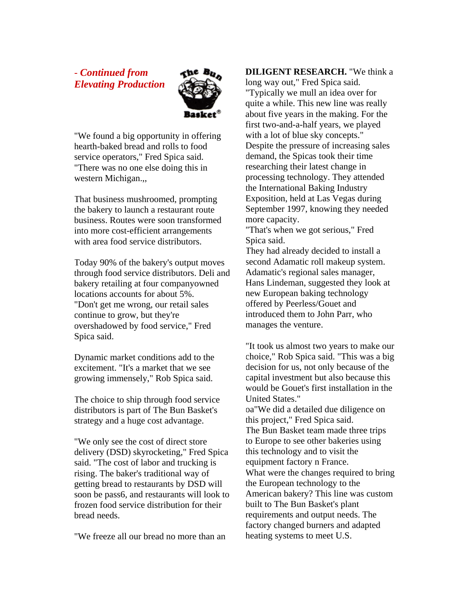- *Continued from Elevating Production*



"We found a big opportunity in offering hearth-baked bread and rolls to food service operators," Fred Spica said. "There was no one else doing this in western Michigan.,,

That business mushroomed, prompting the bakery to launch a restaurant route business. Routes were soon transformed into more cost-efficient arrangements with area food service distributors.

Today 90% of the bakery's output moves through food service distributors. Deli and bakery retailing at four companyowned locations accounts for about 5%. "Don't get me wrong, our retail sales continue to grow, but they're overshadowed by food service," Fred Spica said.

Dynamic market conditions add to the excitement. "It's a market that we see growing immensely," Rob Spica said.

The choice to ship through food service distributors is part of The Bun Basket's strategy and a huge cost advantage.

"We only see the cost of direct store delivery (DSD) skyrocketing," Fred Spica said. "The cost of labor and trucking is rising. The baker's traditional way of getting bread to restaurants by DSD will soon be pass6, and restaurants will look to frozen food service distribution for their bread needs.

"We freeze all our bread no more than an

## **DILIGENT RESEARCH.** "We think a

long way out," Fred Spica said. "Typically we mull an idea over for quite a while. This new line was really about five years in the making. For the first two-and-a-half years, we played with a lot of blue sky concepts." Despite the pressure of increasing sales demand, the Spicas took their time researching their latest change in processing technology. They attended the International Baking Industry Exposition, held at Las Vegas during September 1997, knowing they needed more capacity.

"That's when we got serious," Fred Spica said.

They had already decided to install a second Adamatic roll makeup system. Adamatic's regional sales manager, Hans Lindeman, suggested they look at new European baking technology offered by Peerless/Gouet and introduced them to John Parr, who manages the venture.

"It took us almost two years to make our choice," Rob Spica said. "This was a big decision for us, not only because of the capital investment but also because this would be Gouet's first installation in the United States." oa"We did a detailed due diligence on this project," Fred Spica said.

The Bun Basket team made three trips to Europe to see other bakeries using this technology and to visit the equipment factory n France. What were the changes required to bring the European technology to the American bakery? This line was custom built to The Bun Basket's plant requirements and output needs. The factory changed burners and adapted heating systems to meet U.S.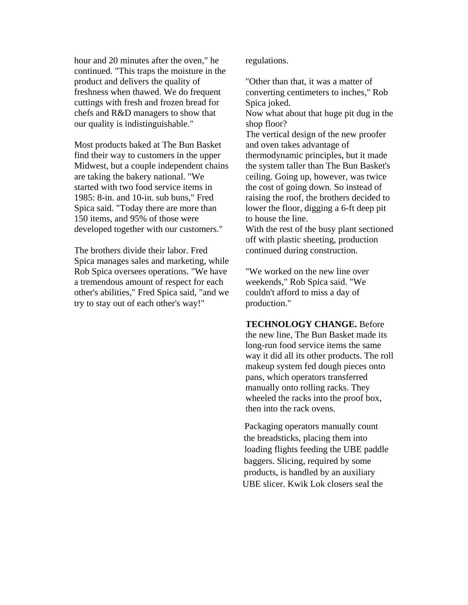hour and 20 minutes after the oven," he continued. "This traps the moisture in the product and delivers the quality of freshness when thawed. We do frequent cuttings with fresh and frozen bread for chefs and R&D managers to show that our quality is indistinguishable."

Most products baked at The Bun Basket find their way to customers in the upper Midwest, but a couple independent chains are taking the bakery national. "We started with two food service items in 1985: 8-in. and 10-in. sub buns," Fred Spica said. "Today there are more than 150 items, and 95% of those were developed together with our customers."

The brothers divide their labor. Fred Spica manages sales and marketing, while Rob Spica oversees operations. "We have a tremendous amount of respect for each other's abilities," Fred Spica said, "and we try to stay out of each other's way!"

regulations.

"Other than that, it was a matter of converting centimeters to inches," Rob Spica joked.

Now what about that huge pit dug in the shop floor?

The vertical design of the new proofer and oven takes advantage of thermodynamic principles, but it made the system taller than The Bun Basket's ceiling. Going up, however, was twice the cost of going down. So instead of raising the roof, the brothers decided to lower the floor, digging a 6-ft deep pit to house the line.

With the rest of the busy plant sectioned off with plastic sheeting, production continued during construction.

"We worked on the new line over weekends," Rob Spica said. "We couldn't afford to miss a day of production."

**TECHNOLOGY CHANGE.** Before the new line, The Bun Basket made its long-run food service items the same way it did all its other products. The roll makeup system fed dough pieces onto pans, which operators transferred manually onto rolling racks. They wheeled the racks into the proof box, then into the rack ovens.

Packaging operators manually count the breadsticks, placing them into loading flights feeding the UBE paddle baggers. Slicing, required by some products, is handled by an auxiliary UBE slicer. Kwik Lok closers seal the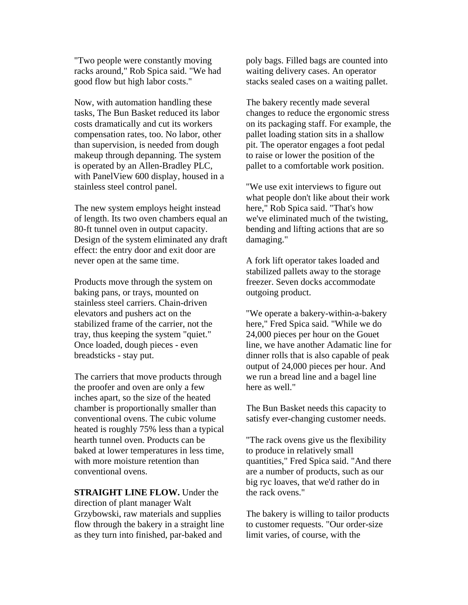"Two people were constantly moving racks around," Rob Spica said. "We had good flow but high labor costs."

Now, with automation handling these tasks, The Bun Basket reduced its labor costs dramatically and cut its workers compensation rates, too. No labor, other than supervision, is needed from dough makeup through depanning. The system is operated by an Allen-Bradley PLC, with PanelView 600 display, housed in a stainless steel control panel.

The new system employs height instead of length. Its two oven chambers equal an 80-ft tunnel oven in output capacity. Design of the system eliminated any draft effect: the entry door and exit door are never open at the same time.

Products move through the system on baking pans, or trays, mounted on stainless steel carriers. Chain-driven elevators and pushers act on the stabilized frame of the carrier, not the tray, thus keeping the system "quiet." Once loaded, dough pieces - even breadsticks - stay put.

The carriers that move products through the proofer and oven are only a few inches apart, so the size of the heated chamber is proportionally smaller than conventional ovens. The cubic volume heated is roughly 75% less than a typical hearth tunnel oven. Products can be baked at lower temperatures in less time, with more moisture retention than conventional ovens.

**STRAIGHT LINE FLOW.** Under the direction of plant manager Walt Grzybowski, raw materials and supplies flow through the bakery in a straight line as they turn into finished, par-baked and

poly bags. Filled bags are counted into waiting delivery cases. An operator stacks sealed cases on a waiting pallet.

The bakery recently made several changes to reduce the ergonomic stress on its packaging staff. For example, the pallet loading station sits in a shallow pit. The operator engages a foot pedal to raise or lower the position of the pallet to a comfortable work position.

"We use exit interviews to figure out what people don't like about their work here," Rob Spica said. "That's how we've eliminated much of the twisting, bending and lifting actions that are so damaging."

A fork lift operator takes loaded and stabilized pallets away to the storage freezer. Seven docks accommodate outgoing product.

"We operate a bakery-within-a-bakery here," Fred Spica said. "While we do 24,000 pieces per hour on the Gouet line, we have another Adamatic line for dinner rolls that is also capable of peak output of 24,000 pieces per hour. And we run a bread line and a bagel line here as well."

The Bun Basket needs this capacity to satisfy ever-changing customer needs.

"The rack ovens give us the flexibility to produce in relatively small quantities," Fred Spica said. "And there are a number of products, such as our big ryc loaves, that we'd rather do in the rack ovens."

The bakery is willing to tailor products to customer requests. "Our order-size limit varies, of course, with the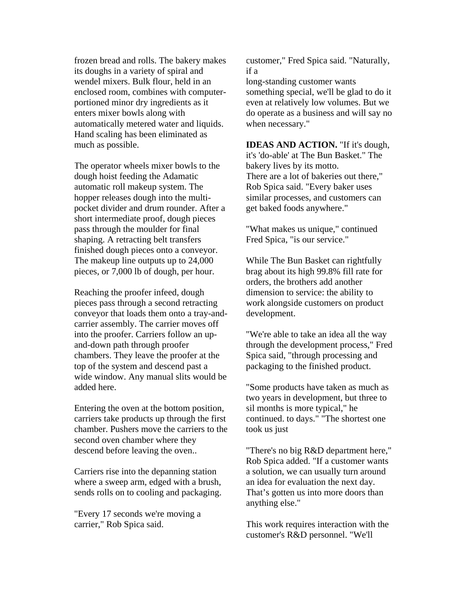frozen bread and rolls. The bakery makes its doughs in a variety of spiral and wendel mixers. Bulk flour, held in an enclosed room, combines with computerportioned minor dry ingredients as it enters mixer bowls along with automatically metered water and liquids. Hand scaling has been eliminated as much as possible.

The operator wheels mixer bowls to the dough hoist feeding the Adamatic automatic roll makeup system. The hopper releases dough into the multipocket divider and drum rounder. After a short intermediate proof, dough pieces pass through the moulder for final shaping. A retracting belt transfers finished dough pieces onto a conveyor. The makeup line outputs up to 24,000 pieces, or 7,000 lb of dough, per hour.

Reaching the proofer infeed, dough pieces pass through a second retracting conveyor that loads them onto a tray-andcarrier assembly. The carrier moves off into the proofer. Carriers follow an upand-down path through proofer chambers. They leave the proofer at the top of the system and descend past a wide window. Any manual slits would be added here.

Entering the oven at the bottom position, carriers take products up through the first chamber. Pushers move the carriers to the second oven chamber where they descend before leaving the oven..

Carriers rise into the depanning station where a sweep arm, edged with a brush, sends rolls on to cooling and packaging.

"Every 17 seconds we're moving a carrier," Rob Spica said.

customer," Fred Spica said. "Naturally, if a

long-standing customer wants something special, we'll be glad to do it even at relatively low volumes. But we do operate as a business and will say no when necessary."

**IDEAS AND ACTION.** "If it's dough, it's 'do-able' at The Bun Basket." The bakery lives by its motto. There are a lot of bakeries out there," Rob Spica said. "Every baker uses similar processes, and customers can get baked foods anywhere."

"What makes us unique," continued Fred Spica, "is our service."

While The Bun Basket can rightfully brag about its high 99.8% fill rate for orders, the brothers add another dimension to service: the ability to work alongside customers on product development.

"We're able to take an idea all the way through the development process," Fred Spica said, "through processing and packaging to the finished product.

"Some products have taken as much as two years in development, but three to sil months is more typical," he continued. to days." "The shortest one took us just

"There's no big R&D department here," Rob Spica added. "If a customer wants a solution, we can usually turn around an idea for evaluation the next day. That's gotten us into more doors than anything else."

This work requires interaction with the customer's R&D personnel. "We'll